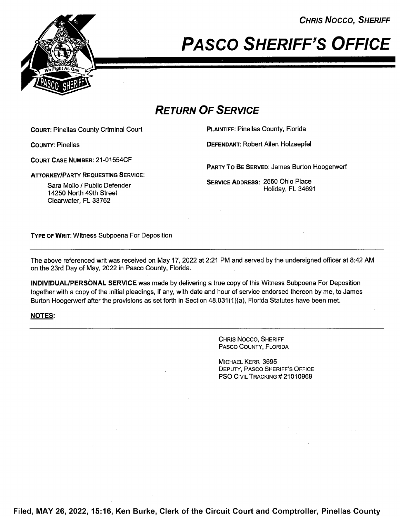

# CHRIS NOCCO, SHERIFF<br>PASCO SHERIFF'S OFFICE

# RETURN OF SERVICE

COURT: Pinellas County Criminal Court PLAINTIFF: Pinellas County, Florida

COURT CASE NUMBER: 21-01 554CF

ATTORNEY/PARTY REQUESTING SERVICE:

Sara Mollo / Public Defender 14250 North 49th Street Clearwater, FL 33762

COUNTY: Pinellas DEFENDANT: Robert Allen Holzaepfel

PARTY To BE SERVED: James Burton Hoogerwerf

SERVICE ADDRESS: 2550 Ohio Place Holiday, FL 34691

TYPE 0F WRIT: Witness Subpoena For Deposition

The above referenced writ was received on May 17, 2022 at 2:21 PM and served by the undersigned officer at 8:42 AM on the 23rd Day of May, 2022 in Pasco County, Florida.

INDIVIDUALIPERSONAL SERVICE was made by delivering a true copy of this Witness Subpoena For Deposition together with a copy of the initial pleadings, if any, with date and hour of service endorsed thereon by me, to James Burton Hoogerwerf after the provisions as set forth in Section 48.031(1 )(a), Florida Statutes have been met.

#### NOTES:

CHRIS Nocco, SHERIFF PAsco COUNTY, FLORIDA

MICHAEL KERR 3695 DEPUTY, PASCO SHERIFF'S OFFICE PSO CIVIL TRACKING #21010969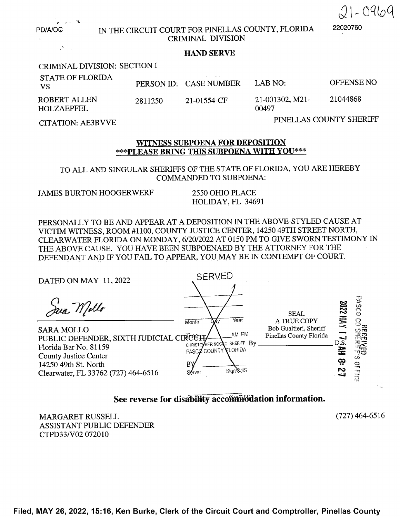

PD/A/OG IN THE CIRCUIT COURT FOR PINELLAS COUNTY, FLORIDA 22020760 CRIMINAL DIVISION

#### HAND SERVE

CRIMINAL DIVISION: SECTION

| <b>STATE OF FLORIDA</b><br>- VS   |         | PERSON ID: CASE NUMBER | LAB NO <sup>.</sup>         | OFFENSE NO |
|-----------------------------------|---------|------------------------|-----------------------------|------------|
| <b>ROBERT ALLEN</b><br>HOLZAEPFEL | 2811250 | 21-01554-CF            | $21-001302$ , M21-<br>00497 | 21044868   |

CITATION: AE3BVVE PINELLAS COUNTY SHERIFF

#### WITNESS SUBPOENA FOR DEPOSITION \*\*\*PLEASE BRING THIS SUBPOENA WITH YOU\*\*\*

TO ALL AND SINGULAR SHERIFFS OF THE STATE OF FLORIDA, YOU ARE HEREBY COMMANDED TO SUBPOENA:

JAMES BURTON HOOGERWERF <sup>2550</sup> OHIO PLACE

HOLIDAY, FL 34691

PERSONALLY TO BE AND APPEAR AT A DEPOSITION IN THE ABOVE-STYLED CAUSE AT VICTIM WITNESS, ROOM #1100, COUNTY JUSTICE CENTER, 14250 49TH STREET NORTH, CLEARWATER FLORIDA ON MONDAY, 6/20/2022 AT 0150 PM TO GIVE SWORN TESTIMONY IN THE ABOVE CAUSE. YOU HAVE BEEN SUBPOENAED BY THE ATTORNEY FOR THE ~ DEFENDANT AND IF YOU FAIL TO APPEAR, YOU MAY BE IN CONTEMPT OF COURT.

DATED ON MAY 11, 2022 SERVED

 $\text{PUBLIC DEFENDER, SIXTH JUDICIAL CIR  $\text{CIR} \rightarrow \text{CIR} \rightarrow \text{CMR} \rightarrow \text{CMR} \rightarrow \text{CMR} \rightarrow \text{CMR} \rightarrow \text{CMR} \rightarrow \text{CMR} \rightarrow \text{CMR} \rightarrow \text{CMR} \rightarrow \text{CMR} \rightarrow \text{CMR} \rightarrow \text{CMR} \rightarrow \text{CMR} \rightarrow \text{CMR} \rightarrow \text{CMR} \rightarrow \text{CMR} \rightarrow \text{CMR} \rightarrow \text{CMR} \rightarrow \text{CMR} \rightarrow \text{CMR} \rightarrow \text{CMR} \rightarrow \text{CMR} \rightarrow \text{CMR} \rightarrow \text{CMR}$$ Florida Bar No. 81159 PASCO COUNTY, FLORIDA County Justice Center 14250 49th St. North  $\frac{BY}{C}$  gives  $\frac{SVI}{S}$  sign/SJIS Clearwater, FL 33762 (727) 464-6516



## See reverse for disability accommodation information.

MARGARET RUSSELL (727) 464—6516 ASSISTANT PUBLIC DEFENDER CTPD33/V02 072010